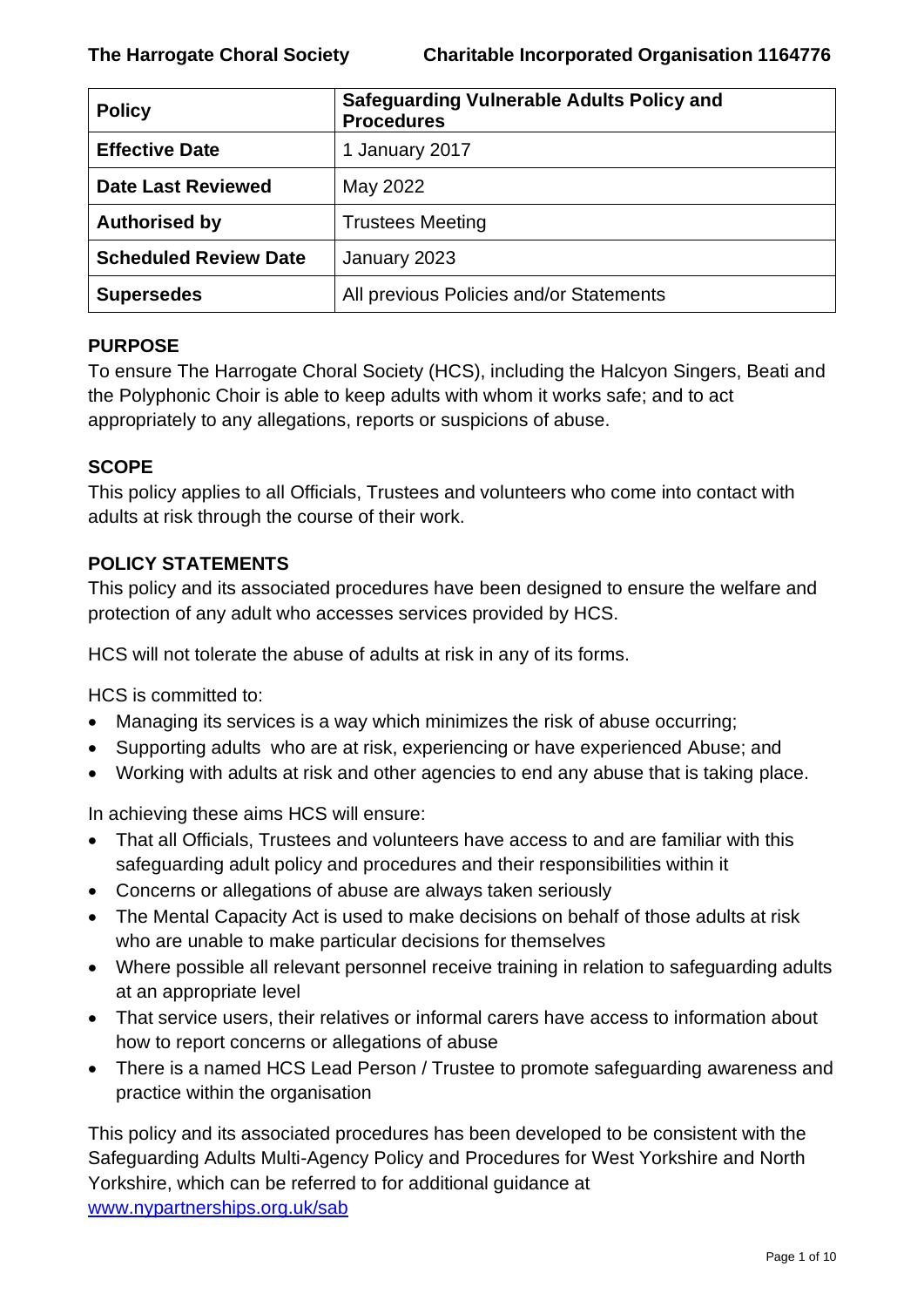| <b>Policy</b>                | <b>Safeguarding Vulnerable Adults Policy and</b><br><b>Procedures</b> |
|------------------------------|-----------------------------------------------------------------------|
| <b>Effective Date</b>        | 1 January 2017                                                        |
| <b>Date Last Reviewed</b>    | May 2022                                                              |
| <b>Authorised by</b>         | <b>Trustees Meeting</b>                                               |
| <b>Scheduled Review Date</b> | January 2023                                                          |
| <b>Supersedes</b>            | All previous Policies and/or Statements                               |

## **PURPOSE**

To ensure The Harrogate Choral Society (HCS), including the Halcyon Singers, Beati and the Polyphonic Choir is able to keep adults with whom it works safe; and to act appropriately to any allegations, reports or suspicions of abuse.

### **SCOPE**

This policy applies to all Officials, Trustees and volunteers who come into contact with adults at risk through the course of their work.

## **POLICY STATEMENTS**

This policy and its associated procedures have been designed to ensure the welfare and protection of any adult who accesses services provided by HCS.

HCS will not tolerate the abuse of adults at risk in any of its forms.

HCS is committed to:

- Managing its services is a way which minimizes the risk of abuse occurring;
- Supporting adults who are at risk, experiencing or have experienced Abuse; and
- Working with adults at risk and other agencies to end any abuse that is taking place.

In achieving these aims HCS will ensure:

- That all Officials, Trustees and volunteers have access to and are familiar with this safeguarding adult policy and procedures and their responsibilities within it
- Concerns or allegations of abuse are always taken seriously
- The Mental Capacity Act is used to make decisions on behalf of those adults at risk who are unable to make particular decisions for themselves
- Where possible all relevant personnel receive training in relation to safeguarding adults at an appropriate level
- That service users, their relatives or informal carers have access to information about how to report concerns or allegations of abuse
- There is a named HCS Lead Person / Trustee to promote safeguarding awareness and practice within the organisation

This policy and its associated procedures has been developed to be consistent with the Safeguarding Adults Multi-Agency Policy and Procedures for West Yorkshire and North Yorkshire, which can be referred to for additional guidance at [www.nypartnerships.org.uk/sab](http://www.nypartnerships.org.uk/sab)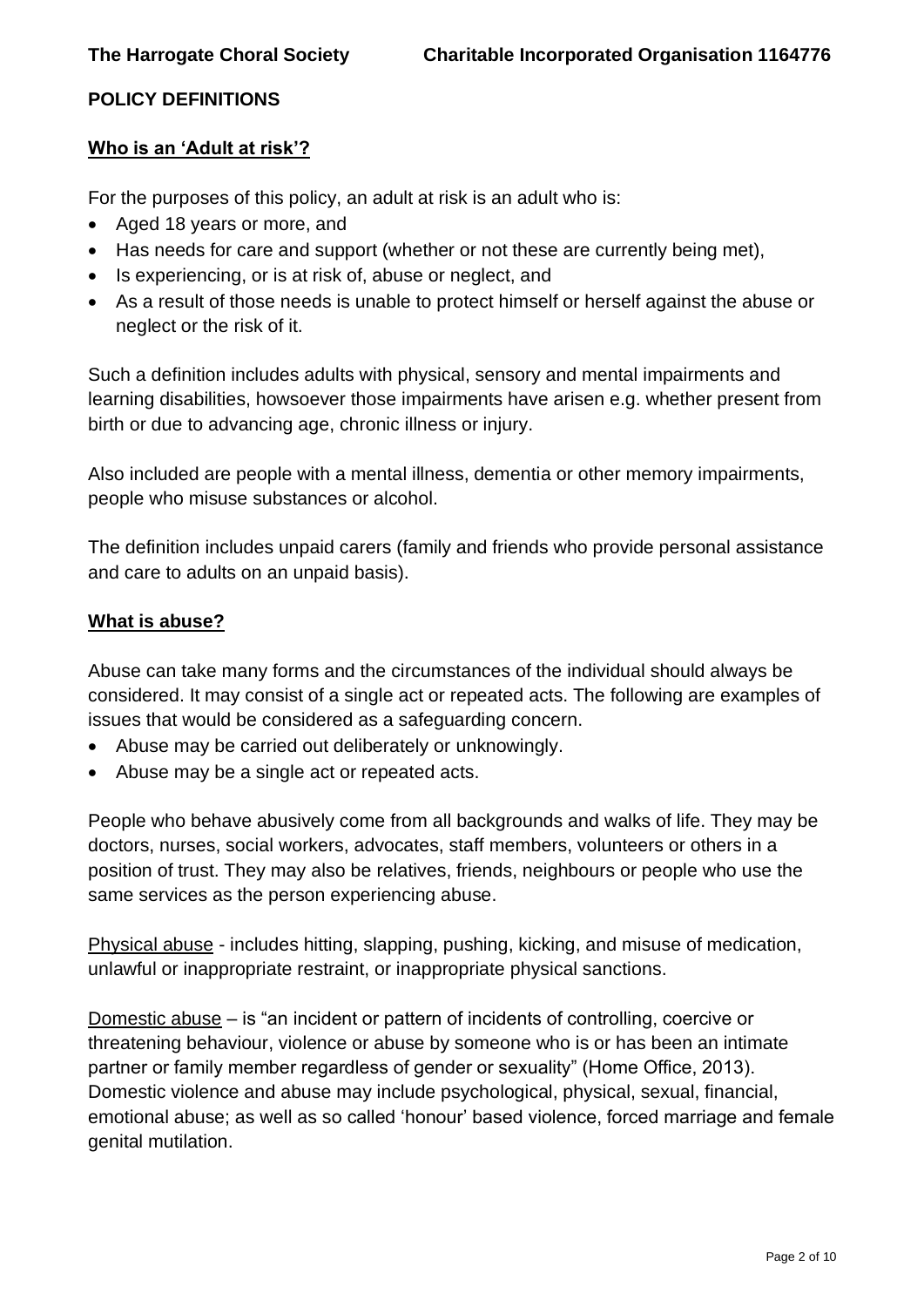## **POLICY DEFINITIONS**

#### **Who is an 'Adult at risk'?**

For the purposes of this policy, an adult at risk is an adult who is:

- Aged 18 years or more, and
- Has needs for care and support (whether or not these are currently being met),
- Is experiencing, or is at risk of, abuse or neglect, and
- As a result of those needs is unable to protect himself or herself against the abuse or neglect or the risk of it.

Such a definition includes adults with physical, sensory and mental impairments and learning disabilities, howsoever those impairments have arisen e.g. whether present from birth or due to advancing age, chronic illness or injury.

Also included are people with a mental illness, dementia or other memory impairments, people who misuse substances or alcohol.

The definition includes unpaid carers (family and friends who provide personal assistance and care to adults on an unpaid basis).

#### **What is abuse?**

Abuse can take many forms and the circumstances of the individual should always be considered. It may consist of a single act or repeated acts. The following are examples of issues that would be considered as a safeguarding concern.

- Abuse may be carried out deliberately or unknowingly.
- Abuse may be a single act or repeated acts.

People who behave abusively come from all backgrounds and walks of life. They may be doctors, nurses, social workers, advocates, staff members, volunteers or others in a position of trust. They may also be relatives, friends, neighbours or people who use the same services as the person experiencing abuse.

Physical abuse - includes hitting, slapping, pushing, kicking, and misuse of medication, unlawful or inappropriate restraint, or inappropriate physical sanctions.

Domestic abuse – is "an incident or pattern of incidents of controlling, coercive or threatening behaviour, violence or abuse by someone who is or has been an intimate partner or family member regardless of gender or sexuality" (Home Office, 2013). Domestic violence and abuse may include psychological, physical, sexual, financial, emotional abuse; as well as so called 'honour' based violence, forced marriage and female genital mutilation.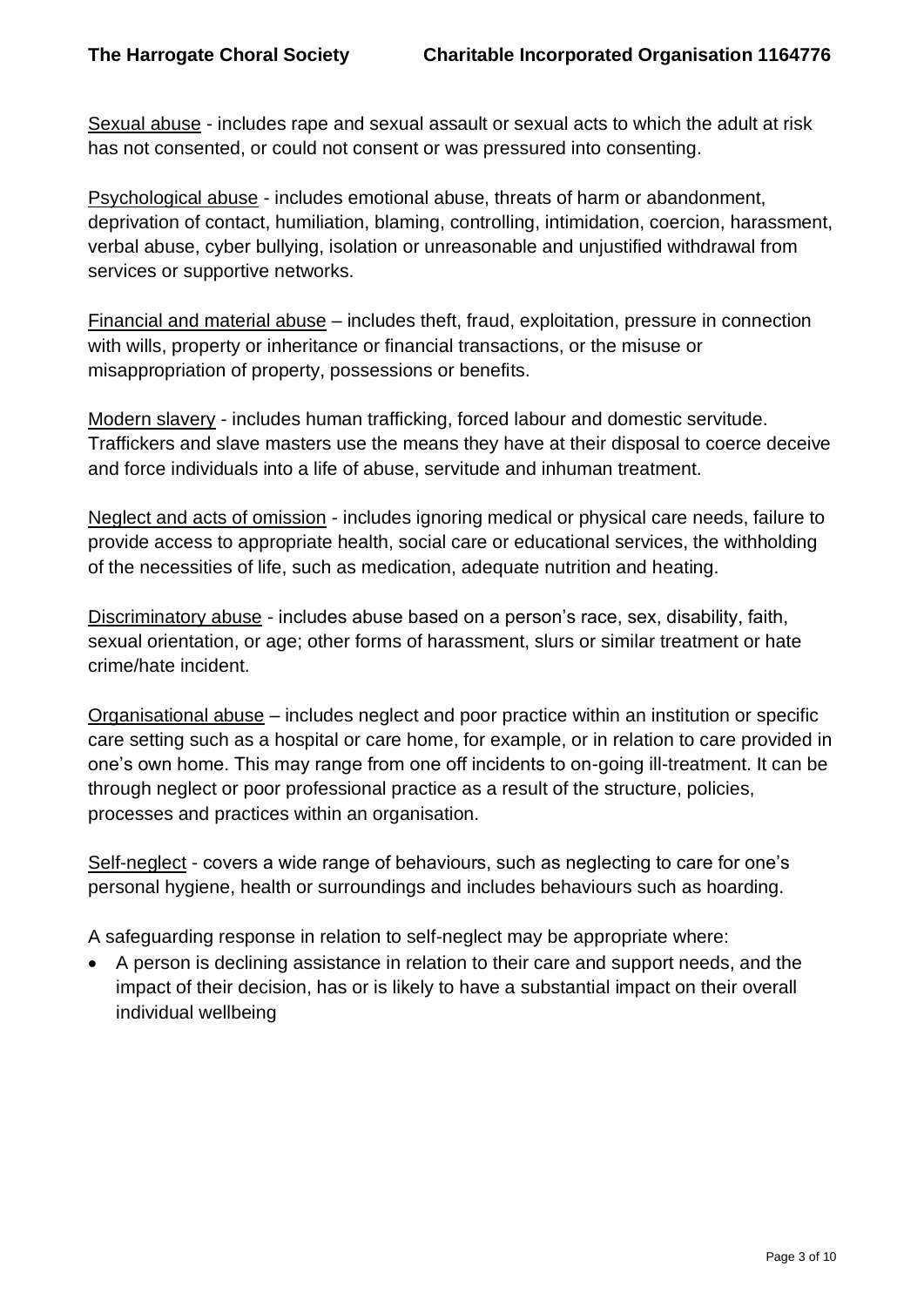Sexual abuse - includes rape and sexual assault or sexual acts to which the adult at risk has not consented, or could not consent or was pressured into consenting.

Psychological abuse - includes emotional abuse, threats of harm or abandonment, deprivation of contact, humiliation, blaming, controlling, intimidation, coercion, harassment, verbal abuse, cyber bullying, isolation or unreasonable and unjustified withdrawal from services or supportive networks.

Financial and material abuse – includes theft, fraud, exploitation, pressure in connection with wills, property or inheritance or financial transactions, or the misuse or misappropriation of property, possessions or benefits.

Modern slavery - includes human trafficking, forced labour and domestic servitude. Traffickers and slave masters use the means they have at their disposal to coerce deceive and force individuals into a life of abuse, servitude and inhuman treatment.

Neglect and acts of omission - includes ignoring medical or physical care needs, failure to provide access to appropriate health, social care or educational services, the withholding of the necessities of life, such as medication, adequate nutrition and heating.

Discriminatory abuse - includes abuse based on a person's race, sex, disability, faith, sexual orientation, or age; other forms of harassment, slurs or similar treatment or hate crime/hate incident.

Organisational abuse – includes neglect and poor practice within an institution or specific care setting such as a hospital or care home, for example, or in relation to care provided in one's own home. This may range from one off incidents to on-going ill-treatment. It can be through neglect or poor professional practice as a result of the structure, policies, processes and practices within an organisation.

Self-neglect - covers a wide range of behaviours, such as neglecting to care for one's personal hygiene, health or surroundings and includes behaviours such as hoarding.

A safeguarding response in relation to self-neglect may be appropriate where:

• A person is declining assistance in relation to their care and support needs, and the impact of their decision, has or is likely to have a substantial impact on their overall individual wellbeing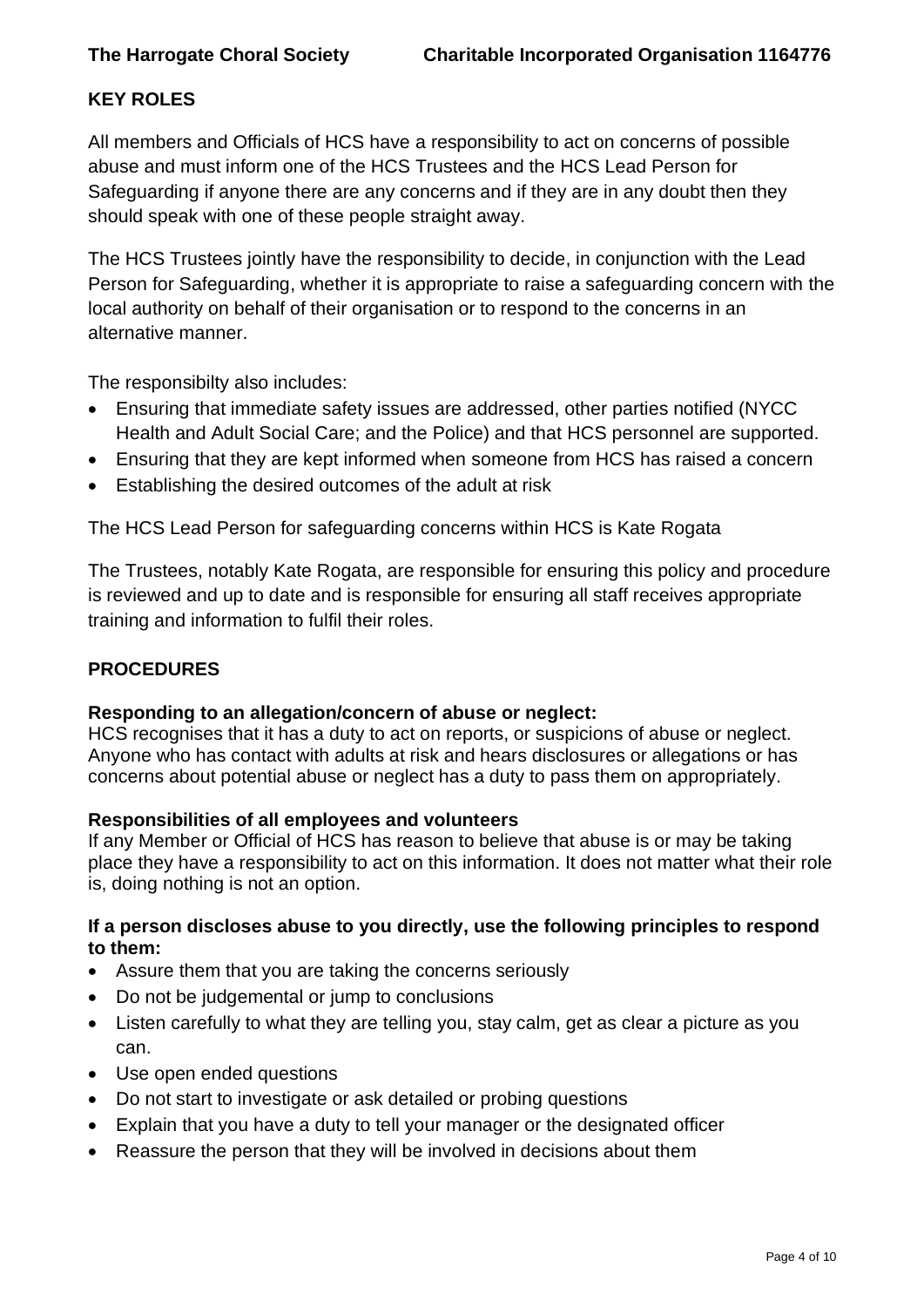## **KEY ROLES**

All members and Officials of HCS have a responsibility to act on concerns of possible abuse and must inform one of the HCS Trustees and the HCS Lead Person for Safeguarding if anyone there are any concerns and if they are in any doubt then they should speak with one of these people straight away.

The HCS Trustees jointly have the responsibility to decide, in conjunction with the Lead Person for Safeguarding, whether it is appropriate to raise a safeguarding concern with the local authority on behalf of their organisation or to respond to the concerns in an alternative manner.

The responsibilty also includes:

- Ensuring that immediate safety issues are addressed, other parties notified (NYCC Health and Adult Social Care; and the Police) and that HCS personnel are supported.
- Ensuring that they are kept informed when someone from HCS has raised a concern
- Establishing the desired outcomes of the adult at risk

The HCS Lead Person for safeguarding concerns within HCS is Kate Rogata

The Trustees, notably Kate Rogata, are responsible for ensuring this policy and procedure is reviewed and up to date and is responsible for ensuring all staff receives appropriate training and information to fulfil their roles.

## **PROCEDURES**

## **Responding to an allegation/concern of abuse or neglect:**

HCS recognises that it has a duty to act on reports, or suspicions of abuse or neglect. Anyone who has contact with adults at risk and hears disclosures or allegations or has concerns about potential abuse or neglect has a duty to pass them on appropriately.

#### **Responsibilities of all employees and volunteers**

If any Member or Official of HCS has reason to believe that abuse is or may be taking place they have a responsibility to act on this information. It does not matter what their role is, doing nothing is not an option.

#### **If a person discloses abuse to you directly, use the following principles to respond to them:**

- Assure them that you are taking the concerns seriously
- Do not be judgemental or jump to conclusions
- Listen carefully to what they are telling you, stay calm, get as clear a picture as you can.
- Use open ended questions
- Do not start to investigate or ask detailed or probing questions
- Explain that you have a duty to tell your manager or the designated officer
- Reassure the person that they will be involved in decisions about them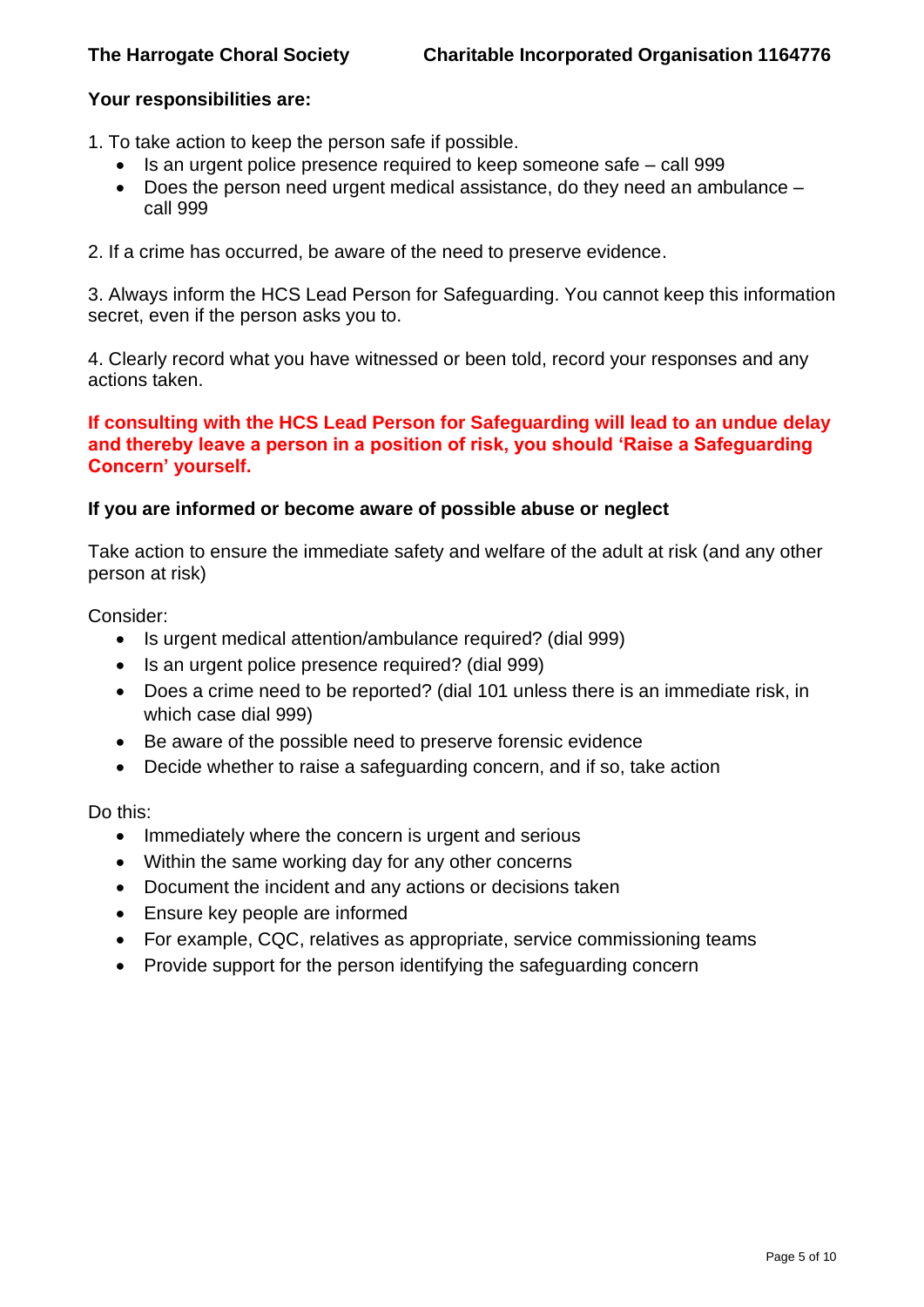#### **Your responsibilities are:**

- 1. To take action to keep the person safe if possible.
	- Is an urgent police presence required to keep someone safe call 999
	- Does the person need urgent medical assistance, do they need an ambulance call 999
- 2. If a crime has occurred, be aware of the need to preserve evidence.

3. Always inform the HCS Lead Person for Safeguarding. You cannot keep this information secret, even if the person asks you to.

4. Clearly record what you have witnessed or been told, record your responses and any actions taken.

#### **If consulting with the HCS Lead Person for Safeguarding will lead to an undue delay and thereby leave a person in a position of risk, you should 'Raise a Safeguarding Concern' yourself.**

#### **If you are informed or become aware of possible abuse or neglect**

Take action to ensure the immediate safety and welfare of the adult at risk (and any other person at risk)

Consider:

- Is urgent medical attention/ambulance required? (dial 999)
- Is an urgent police presence required? (dial 999)
- Does a crime need to be reported? (dial 101 unless there is an immediate risk, in which case dial 999)
- Be aware of the possible need to preserve forensic evidence
- Decide whether to raise a safeguarding concern, and if so, take action

Do this:

- Immediately where the concern is urgent and serious
- Within the same working day for any other concerns
- Document the incident and any actions or decisions taken
- Ensure key people are informed
- For example, CQC, relatives as appropriate, service commissioning teams
- Provide support for the person identifying the safeguarding concern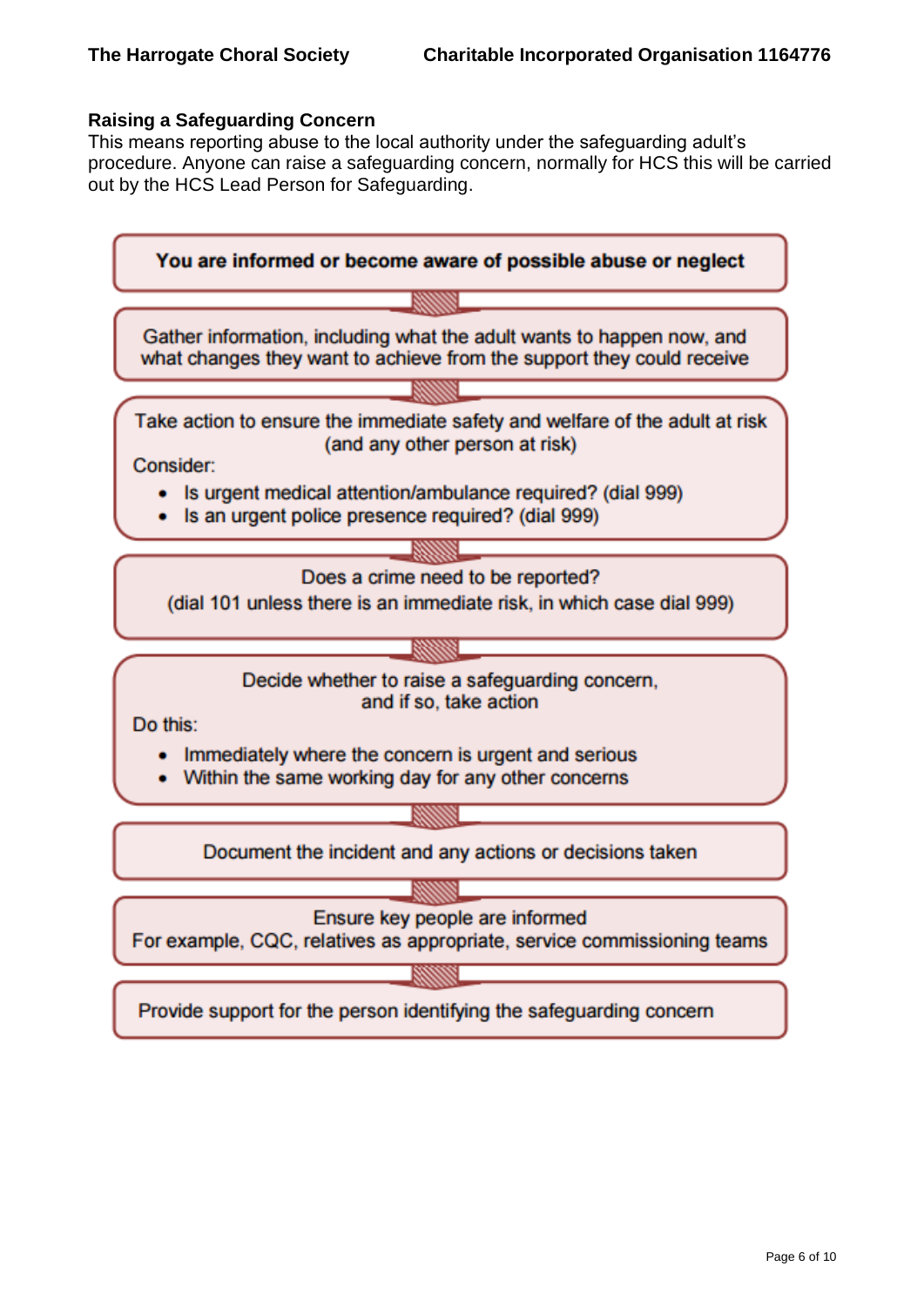#### **Raising a Safeguarding Concern**

This means reporting abuse to the local authority under the safeguarding adult's procedure. Anyone can raise a safeguarding concern, normally for HCS this will be carried out by the HCS Lead Person for Safeguarding.

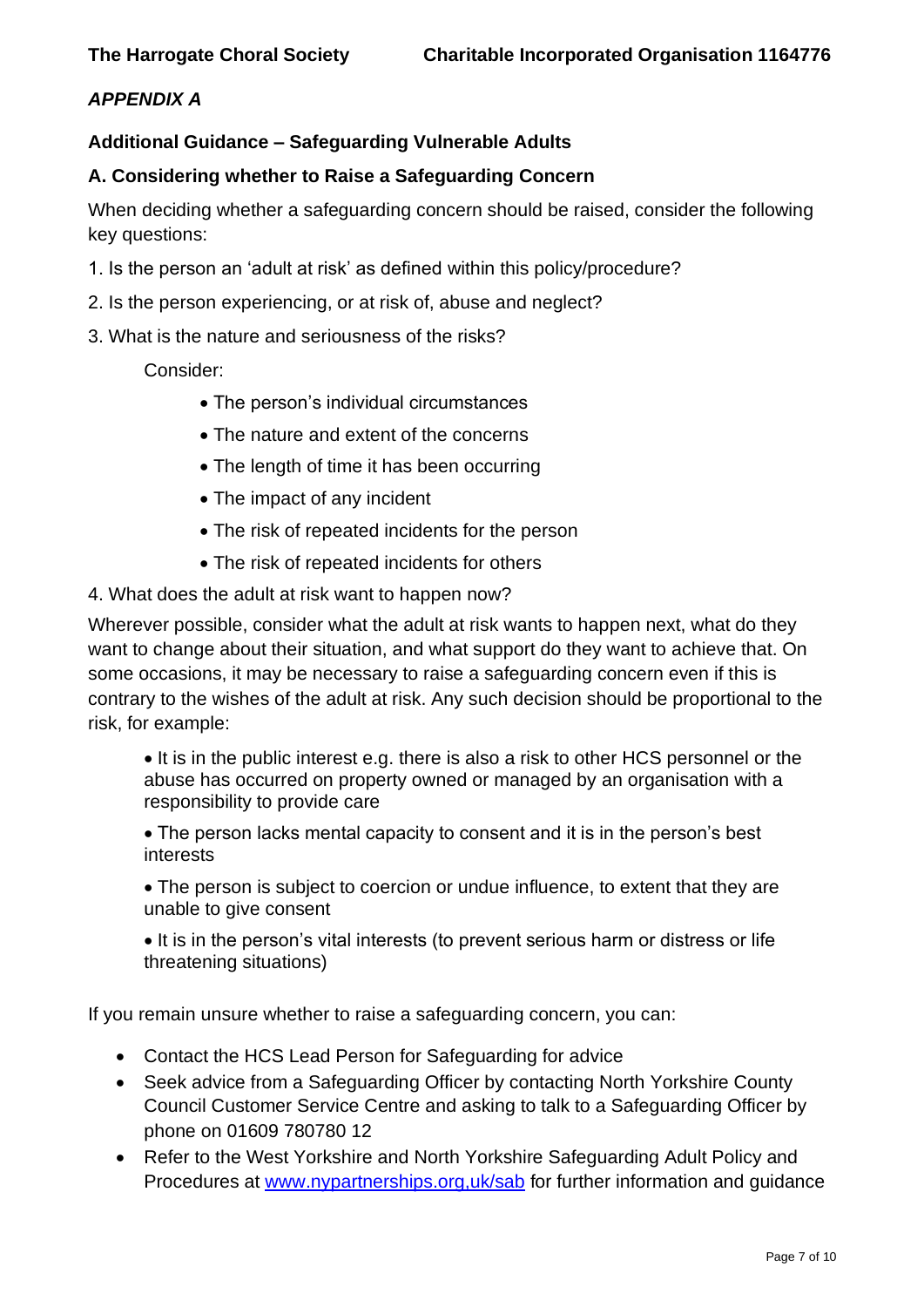## *APPENDIX A*

#### **Additional Guidance – Safeguarding Vulnerable Adults**

#### **A. Considering whether to Raise a Safeguarding Concern**

When deciding whether a safeguarding concern should be raised, consider the following key questions:

- 1. Is the person an 'adult at risk' as defined within this policy/procedure?
- 2. Is the person experiencing, or at risk of, abuse and neglect?
- 3. What is the nature and seriousness of the risks?

Consider:

- The person's individual circumstances
- The nature and extent of the concerns
- The length of time it has been occurring
- The impact of any incident
- The risk of repeated incidents for the person
- The risk of repeated incidents for others
- 4. What does the adult at risk want to happen now?

Wherever possible, consider what the adult at risk wants to happen next, what do they want to change about their situation, and what support do they want to achieve that. On some occasions, it may be necessary to raise a safeguarding concern even if this is contrary to the wishes of the adult at risk. Any such decision should be proportional to the risk, for example:

• It is in the public interest e.g. there is also a risk to other HCS personnel or the abuse has occurred on property owned or managed by an organisation with a responsibility to provide care

• The person lacks mental capacity to consent and it is in the person's best interests

• The person is subject to coercion or undue influence, to extent that they are unable to give consent

• It is in the person's vital interests (to prevent serious harm or distress or life threatening situations)

If you remain unsure whether to raise a safeguarding concern, you can:

- Contact the HCS Lead Person for Safeguarding for advice
- Seek advice from a Safeguarding Officer by contacting North Yorkshire County Council Customer Service Centre and asking to talk to a Safeguarding Officer by phone on 01609 780780 12
- Refer to the West Yorkshire and North Yorkshire Safeguarding Adult Policy and Procedures at [www.nypartnerships.org,uk/sab](http://www.nypartnerships.org,uk/sab) for further information and guidance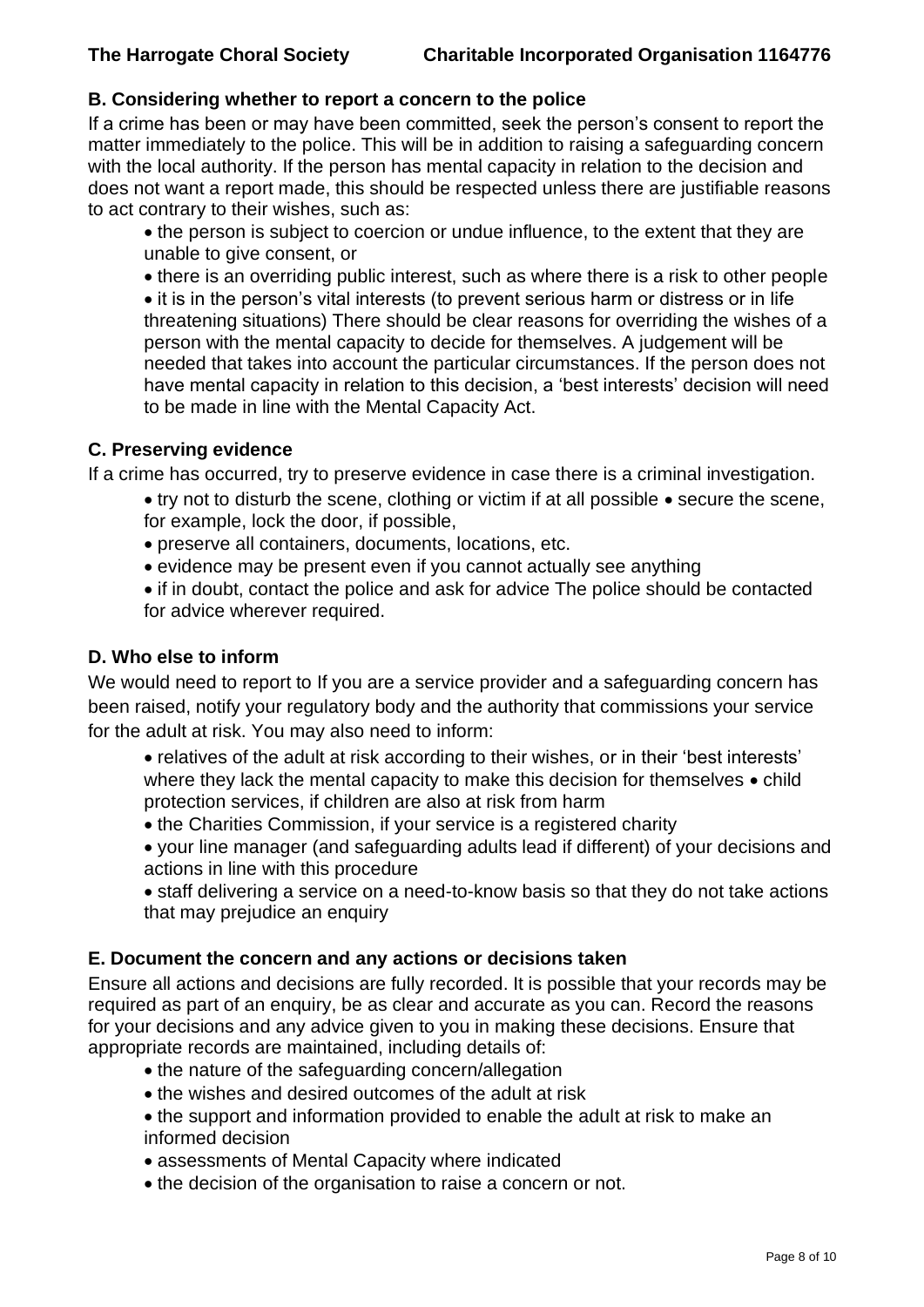## **B. Considering whether to report a concern to the police**

If a crime has been or may have been committed, seek the person's consent to report the matter immediately to the police. This will be in addition to raising a safeguarding concern with the local authority. If the person has mental capacity in relation to the decision and does not want a report made, this should be respected unless there are justifiable reasons to act contrary to their wishes, such as:

- the person is subject to coercion or undue influence, to the extent that they are unable to give consent, or
- there is an overriding public interest, such as where there is a risk to other people • it is in the person's vital interests (to prevent serious harm or distress or in life threatening situations) There should be clear reasons for overriding the wishes of a

person with the mental capacity to decide for themselves. A judgement will be needed that takes into account the particular circumstances. If the person does not have mental capacity in relation to this decision, a 'best interests' decision will need to be made in line with the Mental Capacity Act.

## **C. Preserving evidence**

If a crime has occurred, try to preserve evidence in case there is a criminal investigation.

- try not to disturb the scene, clothing or victim if at all possible secure the scene, for example, lock the door, if possible,
- preserve all containers, documents, locations, etc.
- evidence may be present even if you cannot actually see anything
- if in doubt, contact the police and ask for advice The police should be contacted for advice wherever required.

## **D. Who else to inform**

We would need to report to If you are a service provider and a safeguarding concern has been raised, notify your regulatory body and the authority that commissions your service for the adult at risk. You may also need to inform:

- relatives of the adult at risk according to their wishes, or in their 'best interests' where they lack the mental capacity to make this decision for themselves  $\bullet$  child protection services, if children are also at risk from harm
- the Charities Commission, if your service is a registered charity
- your line manager (and safeguarding adults lead if different) of your decisions and actions in line with this procedure
- staff delivering a service on a need-to-know basis so that they do not take actions that may prejudice an enquiry

## **E. Document the concern and any actions or decisions taken**

Ensure all actions and decisions are fully recorded. It is possible that your records may be required as part of an enquiry, be as clear and accurate as you can. Record the reasons for your decisions and any advice given to you in making these decisions. Ensure that appropriate records are maintained, including details of:

- the nature of the safeguarding concern/allegation
- the wishes and desired outcomes of the adult at risk
- the support and information provided to enable the adult at risk to make an informed decision
- assessments of Mental Capacity where indicated
- the decision of the organisation to raise a concern or not.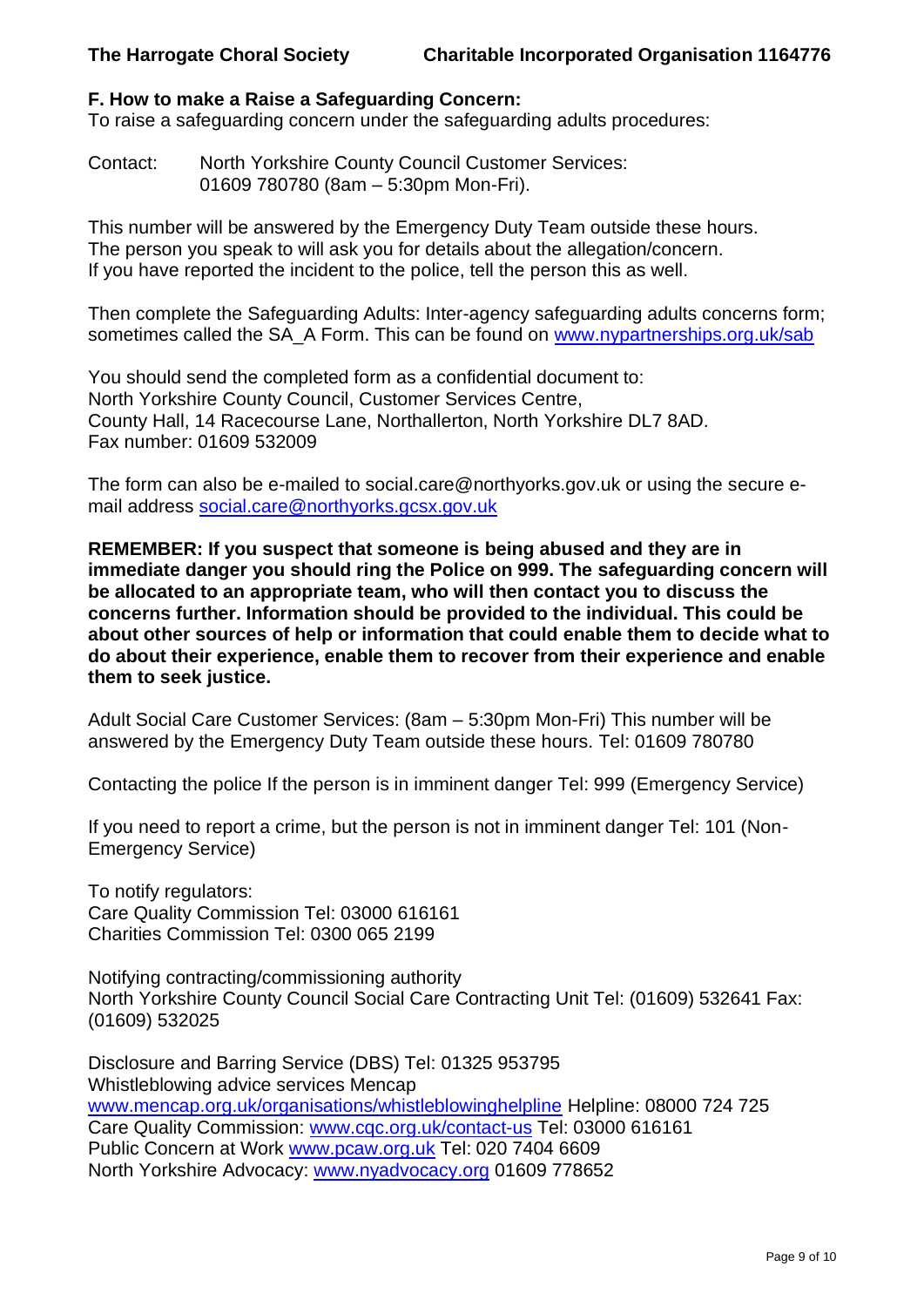## **F. How to make a Raise a Safeguarding Concern:**

To raise a safeguarding concern under the safeguarding adults procedures:

Contact: North Yorkshire County Council Customer Services: 01609 780780 (8am – 5:30pm Mon-Fri).

This number will be answered by the Emergency Duty Team outside these hours. The person you speak to will ask you for details about the allegation/concern. If you have reported the incident to the police, tell the person this as well.

Then complete the Safeguarding Adults: Inter-agency safeguarding adults concerns form; sometimes called the SA A Form. This can be found on [www.nypartnerships.org.uk/sab](http://www.nypartnerships.org.uk/sab)

You should send the completed form as a confidential document to: North Yorkshire County Council, Customer Services Centre, County Hall, 14 Racecourse Lane, Northallerton, North Yorkshire DL7 8AD. Fax number: 01609 532009

The form can also be e-mailed to social.care@northyorks.gov.uk or using the secure email address [social.care@northyorks.gcsx.gov.uk](mailto:social.care@northyorks.gcsx.gov.uk)

**REMEMBER: If you suspect that someone is being abused and they are in immediate danger you should ring the Police on 999. The safeguarding concern will be allocated to an appropriate team, who will then contact you to discuss the concerns further. Information should be provided to the individual. This could be about other sources of help or information that could enable them to decide what to do about their experience, enable them to recover from their experience and enable them to seek justice.**

Adult Social Care Customer Services: (8am – 5:30pm Mon-Fri) This number will be answered by the Emergency Duty Team outside these hours. Tel: 01609 780780

Contacting the police If the person is in imminent danger Tel: 999 (Emergency Service)

If you need to report a crime, but the person is not in imminent danger Tel: 101 (Non-Emergency Service)

To notify regulators: Care Quality Commission Tel: 03000 616161 Charities Commission Tel: 0300 065 2199

Notifying contracting/commissioning authority North Yorkshire County Council Social Care Contracting Unit Tel: (01609) 532641 Fax: (01609) 532025

Disclosure and Barring Service (DBS) Tel: 01325 953795 Whistleblowing advice services Mencap [www.mencap.org.uk/organisations/whistleblowinghelpline](http://www.mencap.org.uk/organisations/whistleblowinghelpline) Helpline: 08000 724 725 Care Quality Commission: [www.cqc.org.uk/contact-us](http://www.cqc.org.uk/contact-us) Tel: 03000 616161 Public Concern at Work [www.pcaw.org.uk](http://www.pcaw.org.uk/) Tel: 020 7404 6609 North Yorkshire Advocacy: [www.nyadvocacy.org](http://www.nyadvocacy.org/) 01609 778652